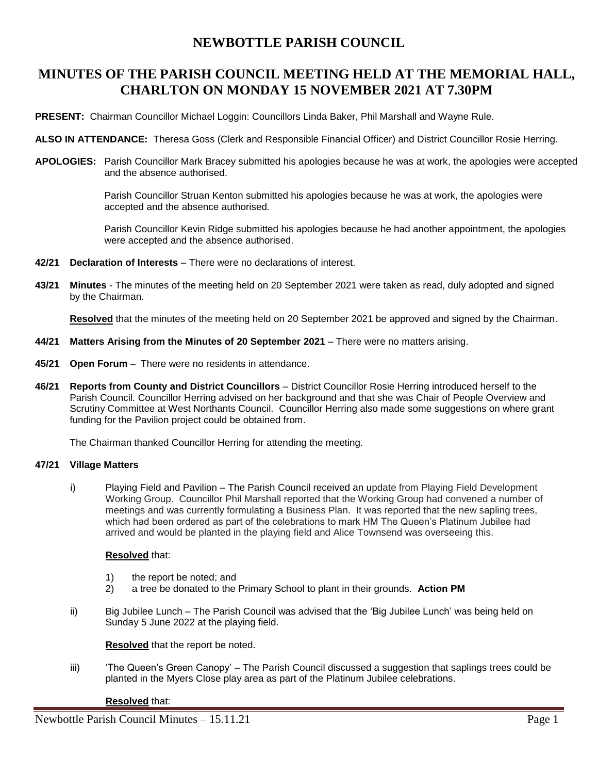## **NEWBOTTLE PARISH COUNCIL**

## **MINUTES OF THE PARISH COUNCIL MEETING HELD AT THE MEMORIAL HALL, CHARLTON ON MONDAY 15 NOVEMBER 2021 AT 7.30PM**

**PRESENT:** Chairman Councillor Michael Loggin: Councillors Linda Baker, Phil Marshall and Wayne Rule.

- **ALSO IN ATTENDANCE:** Theresa Goss (Clerk and Responsible Financial Officer) and District Councillor Rosie Herring.
- **APOLOGIES:** Parish Councillor Mark Bracey submitted his apologies because he was at work, the apologies were accepted and the absence authorised.

Parish Councillor Struan Kenton submitted his apologies because he was at work, the apologies were accepted and the absence authorised.

Parish Councillor Kevin Ridge submitted his apologies because he had another appointment, the apologies were accepted and the absence authorised.

- **42/21 Declaration of Interests** There were no declarations of interest.
- **43/21 Minutes** The minutes of the meeting held on 20 September 2021 were taken as read, duly adopted and signed by the Chairman.

**Resolved** that the minutes of the meeting held on 20 September 2021 be approved and signed by the Chairman.

- **44/21 Matters Arising from the Minutes of 20 September 2021** There were no matters arising.
- **45/21 Open Forum** There were no residents in attendance.
- **46/21 Reports from County and District Councillors** District Councillor Rosie Herring introduced herself to the Parish Council. Councillor Herring advised on her background and that she was Chair of People Overview and Scrutiny Committee at West Northants Council. Councillor Herring also made some suggestions on where grant funding for the Pavilion project could be obtained from.

The Chairman thanked Councillor Herring for attending the meeting.

## **47/21 Village Matters**

i) Playing Field and Pavilion – The Parish Council received an update from Playing Field Development Working Group. Councillor Phil Marshall reported that the Working Group had convened a number of meetings and was currently formulating a Business Plan. It was reported that the new sapling trees, which had been ordered as part of the celebrations to mark HM The Queen's Platinum Jubilee had arrived and would be planted in the playing field and Alice Townsend was overseeing this.

## **Resolved** that:

- 1) the report be noted; and
- 2) a tree be donated to the Primary School to plant in their grounds. **Action PM**
- ii) Big Jubilee Lunch The Parish Council was advised that the 'Big Jubilee Lunch' was being held on Sunday 5 June 2022 at the playing field.

**Resolved** that the report be noted.

iii) 'The Queen's Green Canopy' – The Parish Council discussed a suggestion that saplings trees could be planted in the Myers Close play area as part of the Platinum Jubilee celebrations.

#### **Resolved** that: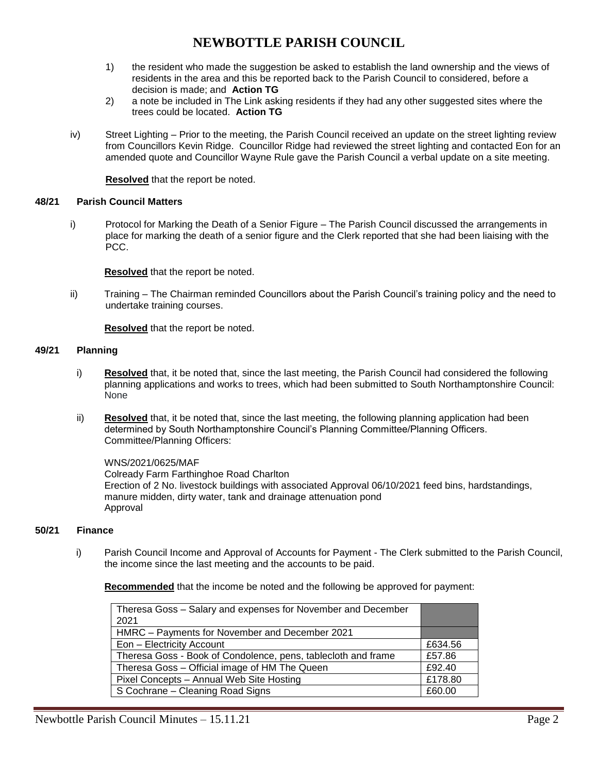# **NEWBOTTLE PARISH COUNCIL**

- 1) the resident who made the suggestion be asked to establish the land ownership and the views of residents in the area and this be reported back to the Parish Council to considered, before a decision is made; and **Action TG**
- 2) a note be included in The Link asking residents if they had any other suggested sites where the trees could be located. **Action TG**
- iv) Street Lighting Prior to the meeting, the Parish Council received an update on the street lighting review from Councillors Kevin Ridge. Councillor Ridge had reviewed the street lighting and contacted Eon for an amended quote and Councillor Wayne Rule gave the Parish Council a verbal update on a site meeting.

**Resolved** that the report be noted.

### **48/21 Parish Council Matters**

i) Protocol for Marking the Death of a Senior Figure – The Parish Council discussed the arrangements in place for marking the death of a senior figure and the Clerk reported that she had been liaising with the PCC.

**Resolved** that the report be noted.

ii) Training – The Chairman reminded Councillors about the Parish Council's training policy and the need to undertake training courses.

**Resolved** that the report be noted.

#### **49/21 Planning**

- i) **Resolved** that, it be noted that, since the last meeting, the Parish Council had considered the following planning applications and works to trees, which had been submitted to South Northamptonshire Council: None
- ii) **Resolved** that, it be noted that, since the last meeting, the following planning application had been determined by South Northamptonshire Council's Planning Committee/Planning Officers. Committee/Planning Officers:

WNS/2021/0625/MAF Colready Farm Farthinghoe Road Charlton Erection of 2 No. livestock buildings with associated Approval 06/10/2021 feed bins, hardstandings, manure midden, dirty water, tank and drainage attenuation pond Approval

### **50/21 Finance**

i) Parish Council Income and Approval of Accounts for Payment - The Clerk submitted to the Parish Council, the income since the last meeting and the accounts to be paid.

**Recommended** that the income be noted and the following be approved for payment:

| Theresa Goss - Salary and expenses for November and December<br>2021 |         |
|----------------------------------------------------------------------|---------|
| HMRC - Payments for November and December 2021                       |         |
| Eon - Electricity Account                                            | £634.56 |
| Theresa Goss - Book of Condolence, pens, tablecloth and frame        | £57.86  |
| Theresa Goss - Official image of HM The Queen                        | £92.40  |
| Pixel Concepts - Annual Web Site Hosting                             | £178.80 |
| S Cochrane - Cleaning Road Signs                                     | £60.00  |